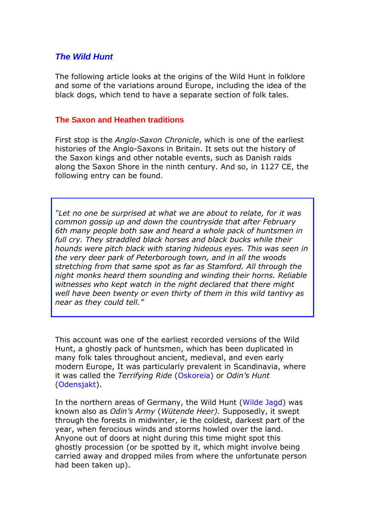# *The Wild Hunt*

The following article looks at the origins of the Wild Hunt in folklore and some of the variations around Europe, including the idea of the black dogs, which tend to have a separate section of folk tales.

### **The Saxon and Heathen traditions**

First stop is the *Anglo-Saxon Chronicle*, which is one of the earliest histories of the Anglo-Saxons in Britain. It sets out the history of the Saxon kings and other notable events, such as Danish raids along the Saxon Shore in the ninth century. And so, in 1127 CE, the following entry can be found.

*"Let no one be surprised at what we are about to relate, for it was common gossip up and down the countryside that after February 6th many people both saw and heard a whole pack of huntsmen in*  full cry. They straddled black horses and black bucks while their *hounds were pitch black with staring hideous eyes. This was seen in the very deer park of Peterborough town, and in all the woods stretching from that same spot as far as Stamford. All through the night monks heard them sounding and winding their horns. Reliable witnesses who kept watch in the night declared that there might well have been twenty or even thirty of them in this wild tantivy as near as they could tell."*

This account was one of the earliest recorded versions of the Wild Hunt, a ghostly pack of huntsmen, which has been duplicated in many folk tales throughout ancient, medieval, and even early modern Europe, It was particularly prevalent in Scandinavia, where it was called the *Terrifying Ride* (Oskoreia) or *Odin's Hunt* (Odensjakt).

In the northern areas of Germany, the Wild Hunt (Wilde Jagd) was known also as *Odin's Army* (*Wütende Heer).* Supposedly, it swept through the forests in midwinter, ie the coldest, darkest part of the year, when ferocious winds and storms howled over the land. Anyone out of doors at night during this time might spot this ghostly procession (or be spotted by it, which might involve being carried away and dropped miles from where the unfortunate person had been taken up).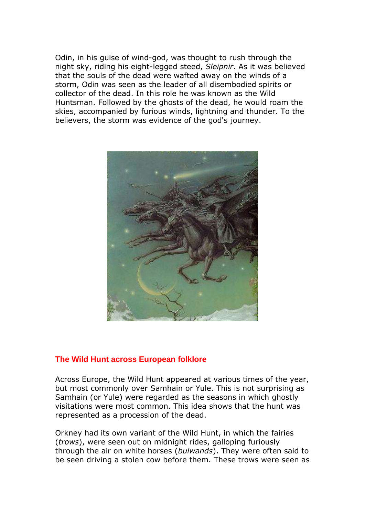Odin, in his guise of wind-god, was thought to rush through the night sky, riding his eight-legged steed, *Sleipnir*. As it was believed that the souls of the dead were wafted away on the winds of a storm, Odin was seen as the leader of all disembodied spirits or collector of the dead. In this role he was known as the Wild Huntsman. Followed by the ghosts of the dead, he would roam the skies, accompanied by furious winds, lightning and thunder. To the believers, the storm was evidence of the god's journey.



### **The Wild Hunt across European folklore**

Across Europe, the Wild Hunt appeared at various times of the year, but most commonly over Samhain or Yule. This is not surprising as Samhain (or Yule) were regarded as the seasons in which ghostly visitations were most common. This idea shows that the hunt was represented as a procession of the dead.

Orkney had its own variant of the Wild Hunt, in which the fairies (*trows*), were seen out on midnight rides, galloping furiously through the air on white horses (*bulwands*). They were often said to be seen driving a stolen cow before them. These trows were seen as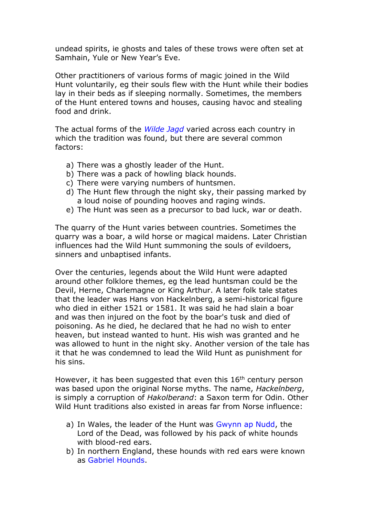undead spirits, ie ghosts and tales of these trows were often set at Samhain, Yule or New Year's Eve.

Other practitioners of various forms of [magic](http://norse-mythology.org/concepts/magic/) joined in the Wild Hunt voluntarily, eg their souls flew with the Hunt while their bodies lay in their beds as if sleeping normally. Sometimes, the members of the Hunt entered towns and houses, causing havoc and stealing food and drink.

The actual forms of the *Wilde Jagd* varied across each country in which the tradition was found, but there are several common factors:

- a) There was a ghostly leader of the Hunt.
- b) There was a pack of howling black hounds.
- c) There were varying numbers of huntsmen.
- d) The Hunt flew through the night sky, their passing marked by a loud noise of pounding hooves and raging winds.
- e) The Hunt was seen as a precursor to bad luck, war or death.

The quarry of the Hunt varies between countries. Sometimes the quarry was a boar, a wild horse or magical maidens. Later Christian influences had the Wild Hunt summoning the souls of evildoers, sinners and unbaptised infants.

Over the centuries, legends about the Wild Hunt were adapted around other folklore themes, eg the lead huntsman could be the Devil, Herne, Charlemagne or King Arthur. A later folk tale states that the leader was Hans von Hackelnberg, a semi-historical figure who died in either 1521 or 1581. It was said he had slain a boar and was then injured on the foot by the boar's tusk and died of poisoning. As he died, he declared that he had no wish to enter heaven, but instead wanted to hunt. His wish was granted and he was allowed to hunt in the night sky. Another version of the tale has it that he was condemned to lead the Wild Hunt as punishment for his sins.

However, it has been suggested that even this 16<sup>th</sup> century person was based upon the original Norse myths. The name, *Hackelnberg*, is simply a corruption of *Hakolberand*: a Saxon term for Odin. Other Wild Hunt traditions also existed in areas far from Norse influence:

- a) In Wales, the leader of the Hunt was Gwynn ap Nudd, the Lord of the Dead, was followed by his pack of white hounds with blood-red ears.
- b) In northern England, these hounds with red ears were known as Gabriel Hounds.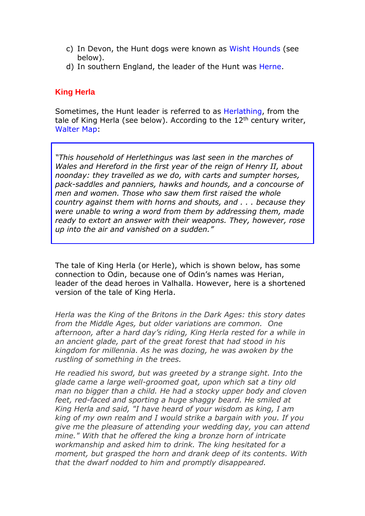- c) In Devon, the Hunt dogs were known as Wisht Hounds (see below).
- d) In southern England, the leader of the Hunt was Herne.

## **King Herla**

Sometimes, the Hunt leader is referred to as Herlathing, from the tale of King Herla (see below). According to the  $12<sup>th</sup>$  century writer, Walter Map:

*"This household of Herlethingus was last seen in the marches of Wales and Hereford in the first year of the reign of Henry II, about noonday: they travelled as we do, with carts and sumpter horses, pack-saddles and panniers, hawks and hounds, and a concourse of men and women. Those who saw them first raised the whole country against them with horns and shouts, and . . . because they were unable to wring a word from them by addressing them, made ready to extort an answer with their weapons. They, however, rose up into the air and vanished on a sudden."*

The tale of King Herla (or Herle), which is shown below, has some connection to Odin, because one of Odin's names was Herian, leader of the dead heroes in Valhalla. However, here is a shortened version of the tale of King Herla.

*Herla was the King of the Britons in the Dark Ages: this story dates from the Middle Ages, but older variations are common. One afternoon, after a hard day's riding, King Herla rested for a while in an ancient glade, part of the great forest that had stood in his kingdom for millennia. As he was dozing, he was awoken by the rustling of something in the trees.*

*He readied his sword, but was greeted by a strange sight. Into the glade came a large well-groomed goat, upon which sat a tiny old man no bigger than a child. He had a stocky upper body and cloven feet, red-faced and sporting a huge shaggy beard. He smiled at King Herla and said, "I have heard of your wisdom as king, I am king of my own realm and I would strike a bargain with you. If you give me the pleasure of attending your wedding day, you can attend mine." With that he offered the king a bronze horn of intricate workmanship and asked him to drink. The king hesitated for a moment, but grasped the horn and drank deep of its contents. With that the dwarf nodded to him and promptly disappeared.*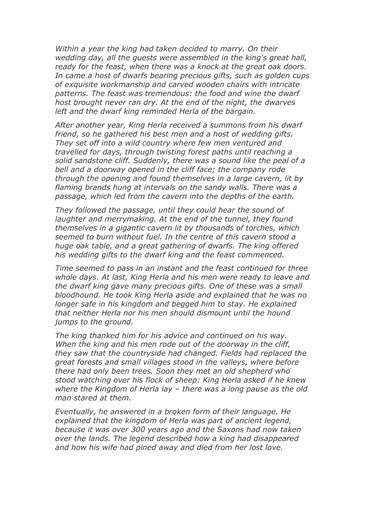*Within a year the king had taken decided to marry. On their wedding day, all the guests were assembled in the king's great hall, ready for the feast, when there was a knock at the great oak doors. In came a host of dwarfs bearing precious gifts, such as golden cups of exquisite workmanship and carved wooden chairs with intricate patterns. The feast was tremendous: the food and wine the dwarf host brought never ran dry. At the end of the night, the dwarves left and the dwarf king reminded Herla of the bargain.*

*After another year, King Herla received a summons from his dwarf friend, so he gathered his best men and a host of wedding gifts. They set off into a wild country where few men ventured and travelled for days, through twisting forest paths until reaching a solid sandstone cliff. Suddenly, there was a sound like the peal of a bell and a doorway opened in the cliff face; the company rode through the opening and found themselves in a large cavern, lit by flaming brands hung at intervals on the sandy walls. There was a passage, which led from the cavern into the depths of the earth.*

*They followed the passage, until they could hear the sound of laughter and merrymaking. At the end of the tunnel, they found themselves in a gigantic cavern lit by thousands of torches, which seemed to burn without fuel. In the centre of this cavern stood a huge oak table, and a great gathering of dwarfs. The king offered his wedding gifts to the dwarf king and the feast commenced.*

*Time seemed to pass in an instant and the feast continued for three whole days. At last, King Herla and his men were ready to leave and the dwarf king gave many precious gifts. One of these was a small bloodhound. He took King Herla aside and explained that he was no longer safe in his kingdom and begged him to stay. He explained that neither Herla nor his men should dismount until the hound jumps to the ground.*

*The king thanked him for his advice and continued on his way. When the king and his men rode out of the doorway in the cliff, they saw that the countryside had changed. Fields had replaced the great forests and small villages stood in the valleys, where before there had only been trees. Soon they met an old shepherd who stood watching over his flock of sheep: King Herla asked if he knew where the Kingdom of Herla lay – there was a long pause as the old man stared at them.*

*Eventually, he answered in a broken form of their language. He explained that the kingdom of Herla was part of ancient legend, because it was over 300 years ago and the Saxons had now taken over the lands. The legend described how a king had disappeared and how his wife had pined away and died from her lost love.*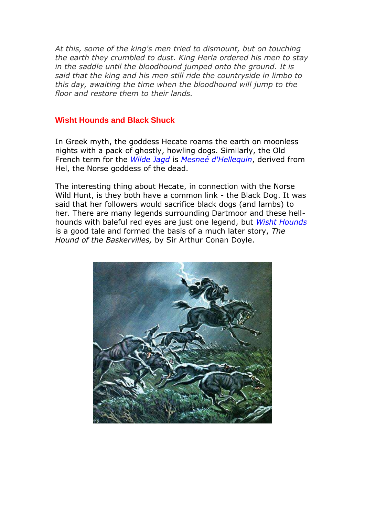*At this, some of the king's men tried to dismount, but on touching the earth they crumbled to dust. King Herla ordered his men to stay in the saddle until the bloodhound jumped onto the ground. It is said that the king and his men still ride the countryside in limbo to this day, awaiting the time when the bloodhound will jump to the floor and restore them to their lands.*

#### **Wisht Hounds and Black Shuck**

In Greek myth, the goddess Hecate roams the earth on moonless nights with a pack of ghostly, howling dogs. Similarly, the Old French term for the *Wilde Jagd* is *Mesneé d'Hellequin*, derived from Hel, the Norse goddess of the dead.

The interesting thing about Hecate, in connection with the Norse Wild Hunt, is they both have a common link - the Black Dog. It was said that her followers would sacrifice black dogs (and lambs) to her. There are many legends surrounding Dartmoor and these hellhounds with baleful red eyes are just one legend, but *Wisht Hounds* is a good tale and formed the basis of a much later story, *The Hound of the Baskervilles,* by Sir Arthur Conan Doyle.

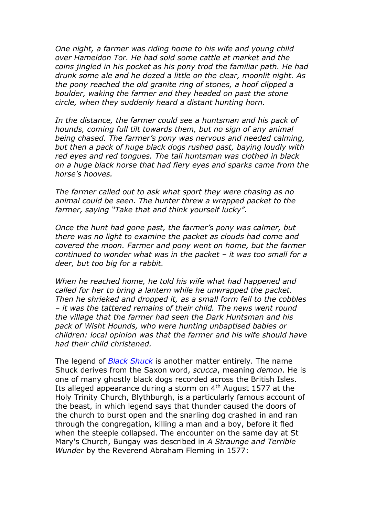*One night, a farmer was riding home to his wife and young child over Hameldon Tor. He had sold some cattle at market and the coins jingled in his pocket as his pony trod the familiar path. He had drunk some ale and he dozed a little on the clear, moonlit night. As the pony reached the old granite ring of stones, a hoof clipped a boulder, waking the farmer and they headed on past the stone circle, when they suddenly heard a distant hunting horn.*

*In the distance, the farmer could see a huntsman and his pack of hounds, coming full tilt towards them, but no sign of any animal being chased. The farmer's pony was nervous and needed calming, but then a pack of huge black dogs rushed past, baying loudly with red eyes and red tongues. The tall huntsman was clothed in black on a huge black horse that had fiery eyes and sparks came from the horse's hooves.*

*The farmer called out to ask what sport they were chasing as no animal could be seen. The hunter threw a wrapped packet to the farmer, saying "Take that and think yourself lucky".*

*Once the hunt had gone past, the farmer's pony was calmer, but there was no light to examine the packet as clouds had come and covered the moon. Farmer and pony went on home, but the farmer continued to wonder what was in the packet – it was too small for a deer, but too big for a rabbit.*

*When he reached home, he told his wife what had happened and called for her to bring a lantern while he unwrapped the packet. Then he shrieked and dropped it, as a small form fell to the cobbles – it was the tattered remains of their child. The news went round the village that the farmer had seen the Dark Huntsman and his pack of Wisht Hounds, who were hunting unbaptised babies or children: local opinion was that the farmer and his wife should have had their child christened.*

The legend of *Black Shuck* is another matter entirely. The name Shuck derives from the Saxon word, *scucca*, meaning *demon*. He is one of many ghostly black dogs recorded across the British Isles. Its alleged appearance during a storm on 4<sup>th</sup> August 1577 at the Holy Trinity Church, Blythburgh, is a particularly famous account of the beast, in which legend says that thunder caused the doors of the church to burst open and the snarling dog crashed in and ran through the congregation, killing a man and a boy, before it fled when the steeple collapsed. The encounter on the same day at St Mary's Church, Bungay was described in *A Straunge and Terrible Wunder* by the Reverend Abraham Fleming in 1577: